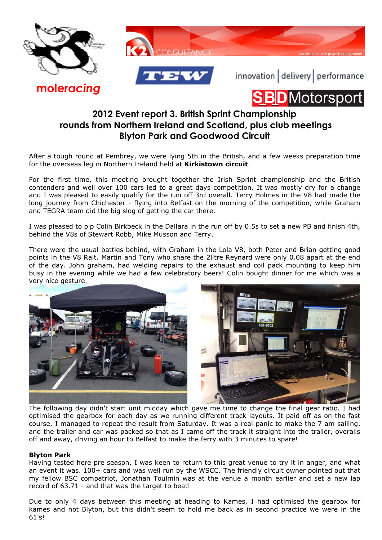





innovation delivery performance





## **2012 Event report 3. British Sprint Championship rounds from Northern Ireland and Scotland, plus club meetings Blyton Park and Goodwood Circuit**

After a tough round at Pembrey, we were lying 5th in the British, and a few weeks preparation time for the overseas leg in Northern Ireland held at **Kirkistown circuit**.

For the first time, this meeting brought together the Irish Sprint championship and the British contenders and well over 100 cars led to a great days competition. It was mostly dry for a change and I was pleased to easily qualify for the run off 3rd overall. Terry Holmes in the V8 had made the long journey from Chichester - flying into Belfast on the morning of the competition, while Graham and TEGRA team did the big slog of getting the car there.

I was pleased to pip Colin Birkbeck in the Dallara in the run off by 0.5s to set a new PB and finish 4th, behind the V8s of Stewart Robb, Mike Musson and Terry.

There were the usual battles behind, with Graham in the Lola V8, both Peter and Brian getting good points in the V8 Ralt. Martin and Tony who share the 2litre Reynard were only 0.08 apart at the end of the day. John graham, had welding repairs to the exhaust and coil pack mounting to keep him busy in the evening while we had a few celebratory beers! Colin bought dinner for me which was a very nice gesture.



The following day didn't start unit midday which gave me time to change the final gear ratio. I had optimised the gearbox for each day as we running different track layouts. It paid off as on the fast course, I managed to repeat the result from Saturday. It was a real panic to make the 7 am sailing, and the trailer and car was packed so that as I came off the track it straight into the trailer, overalls off and away, driving an hour to Belfast to make the ferry with 3 minutes to spare!

## **Blyton Park**

Having tested here pre season, I was keen to return to this great venue to try it in anger, and what an event it was. 100+ cars and was well run by the WSCC. The friendly circuit owner pointed out that my fellow BSC compatriot, Jonathan Toulmin was at the venue a month earlier and set a new lap record of 63.71 - and that was the target to beat!

Due to only 4 days between this meeting at heading to Kames, I had optimised the gearbox for kames and not Blyton, but this didn't seem to hold me back as in second practice we were in the  $61'$ s!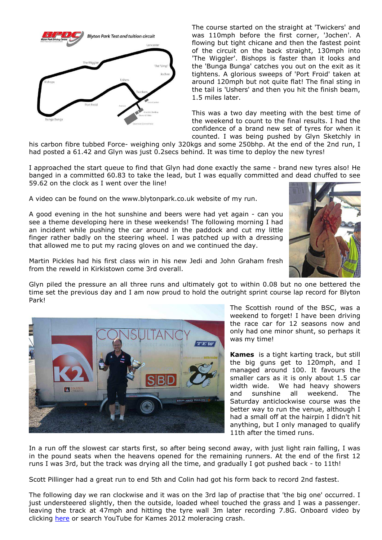

The course started on the straight at 'Twickers' and was 110mph before the first corner, 'Jochen'. A flowing but tight chicane and then the fastest point of the circuit on the back straight, 130mph into 'The Wiggler'. Bishops is faster than it looks and the 'Bunga Bunga' catches you out on the exit as it tightens. A glorious sweeps of 'Port Froid' taken at around 120mph but not quite flat! The final sting in the tail is 'Ushers' and then you hit the finish beam, 1.5 miles later.

This was a two day meeting with the best time of the weekend to count to the final results. I had the confidence of a brand new set of tyres for when it counted. I was being pushed by Glyn Sketchly in

his carbon fibre tubbed Force- weighing only 320kgs and some 250bhp. At the end of the 2nd run, I had posted a 61.42 and Glyn was just 0.2secs behind. It was time to deploy the new tyres!

I approached the start queue to find that Glyn had done exactly the same - brand new tyres also! He banged in a committed 60.83 to take the lead, but I was equally committed and dead chuffed to see 59.62 on the clock as I went over the line!

A video can be found on the www.blytonpark.co.uk website of my run.

A good evening in the hot sunshine and beers were had yet again - can you see a theme developing here in these weekends! The following morning I had an incident while pushing the car around in the paddock and cut my little finger rather badly on the steering wheel. I was patched up with a dressing that allowed me to put my racing gloves on and we continued the day.



Martin Pickles had his first class win in his new Jedi and John Graham fresh from the reweld in Kirkistown come 3rd overall.

Glyn piled the pressure an all three runs and ultimately got to within 0.08 but no one bettered the time set the previous day and I am now proud to hold the outright sprint course lap record for Blyton Park!



The Scottish round of the BSC, was a weekend to forget! I have been driving the race car for 12 seasons now and only had one minor shunt, so perhaps it was my time!

**Kames** is a tight karting track, but still the big guns get to 120mph, and I managed around 100. It favours the smaller cars as it is only about 1.5 car width wide. We had heavy showers and sunshine all weekend. The Saturday anticlockwise course was the better way to run the venue, although I had a small off at the hairpin I didn't hit anything, but I only managed to qualify 11th after the timed runs.

In a run off the slowest car starts first, so after being second away, with just light rain falling, I was in the pound seats when the heavens opened for the remaining runners. At the end of the first 12 runs I was 3rd, but the track was drying all the time, and gradually I got pushed back - to 11th!

Scott Pillinger had a great run to end 5th and Colin had got his form back to record 2nd fastest.

The following day we ran clockwise and it was on the 3rd lap of practise that 'the big one' occurred. I just understeered slightly, then the outside, loaded wheel touched the grass and I was a passenger. leaving the track at 47mph and hitting the tyre wall 3m later recording 7.8G. Onboard video by clicking here or search YouTube for Kames 2012 moleracing crash.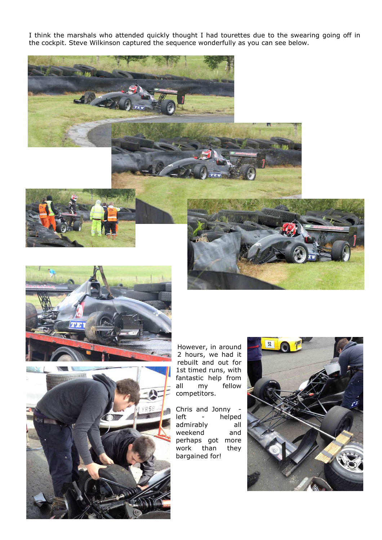I think the marshals who attended quickly thought I had tourettes due to the swearing going off in the cockpit. Steve Wilkinson captured the sequence wonderfully as you can see below.







However, in around 2 hours, we had it rebuilt and out for 1st timed runs, with fantastic help from all my fellow competitors.

Chris and Jonny left - helped admirably all weekend and perhaps got more work than they bargained for!

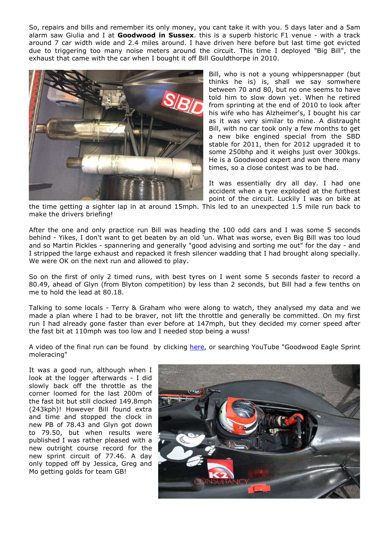So, repairs and bills and remember its only money, you cant take it with you. 5 days later and a 5am alarm saw Giulia and I at **Goodwood in Sussex**. this is a superb historic F1 venue - with a track around 7 car width wide and 2.4 miles around. I have driven here before but last time got evicted due to triggering too many noise meters around the circuit. This time I deployed "Big Bill", the exhaust that came with the car when I bought it off Bill Gouldthorpe in 2010.



Bill, who is not a young whippersnapper (but thinks he is) is, shall we say somwhere between 70 and 80, but no one seems to have told him to slow down yet. When he retired from sprinting at the end of 2010 to look after his wife who has Alzheimer's, I bought his car as it was very similar to mine. A distraught Bill, with no car took only a few months to get a new bike engined special from the SBD stable for 2011, then for 2012 upgraded it to some 250bhp and it weighs just over 300kgs. He is a Goodwood expert and won there many times, so a close contest was to be had.

It was essentially dry all day. I had one accident when a tyre exploded at the furthest point of the circuit. Luckily I was on bike at

the time getting a sighter lap in at around 15mph. This led to an unexpected 1.5 mile run back to make the drivers briefing!

After the one and only practice run Bill was heading the 100 odd cars and I was some 5 seconds behind - Yikes, I don't want to get beaten by an old 'un. What was worse, even Big Bill was too loud and so Martin Pickles - spannering and generally "good advising and sorting me out" for the day - and I stripped the large exhaust and repacked it fresh silencer wadding that I had brought along specially. We were OK on the next run and allowed to play.

So on the first of only 2 timed runs, with best tyres on I went some 5 seconds faster to record a 80.49, ahead of Glyn (from Blyton competition) by less than 2 seconds, but Bill had a few tenths on me to hold the lead at 80.18.

Talking to some locals - Terry & Graham who were along to watch, they analysed my data and we made a plan where I had to be braver, not lift the throttle and generally be committed. On my first run I had already gone faster than ever before at 147mph, but they decided my corner speed after the fast bit at 110mph was too low and I needed stop being a wuss!

A video of the final run can be found by clicking here, or searching YouTube "Goodwood Eagle Sprint moleracing"

It was a good run, although when I look at the logger afterwards - I did slowly back off the throttle as the corner loomed for the last 200m of the fast bit but still clocked 149.8mph (243kph)! However Bill found extra and time and stopped the clock in new PB of 78.43 and Glyn got down to 79.50, but when results were published I was rather pleased with a new outright course record for the new sprint circuit of 77.46. A day only topped off by Jessica, Greg and Mo getting golds for team GB!